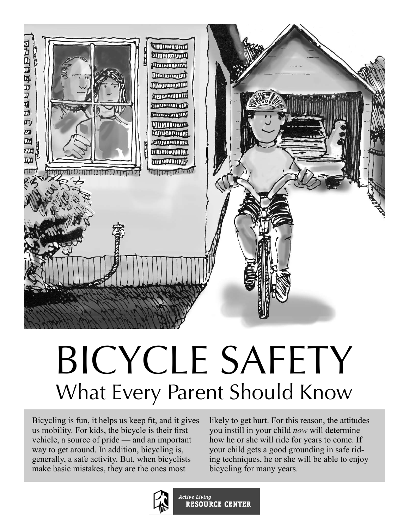

# BICYCLE SAFETY What Every Parent Should Know

Bicycling is fun, it helps us keep fit, and it gives us mobility. For kids, the bicycle is their first vehicle, a source of pride — and an important way to get around. In addition, bicycling is, generally, a safe activity. But, when bicyclists make basic mistakes, they are the ones most

likely to get hurt. For this reason, the attitudes you instill in your child *now* will determine how he or she will ride for years to come. If your child gets a good grounding in safe riding techniques, he or she will be able to enjoy bicycling for many years.

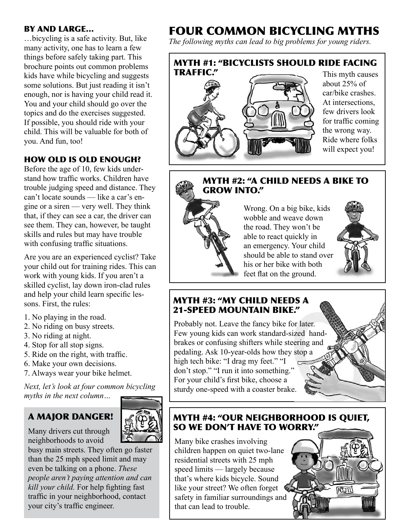#### By and large…

…bicycling is a safe activity. But, like many activity, one has to learn a few things before safely taking part. This brochure points out common problems kids have while bicycling and suggests some solutions. But just reading it isn't enough, nor is having your child read it. You and your child should go over the topics and do the exercises suggested. If possible, you should ride with your child. This will be valuable for both of you. And fun, too!

## How old is old enough?

Before the age of 10, few kids understand how traffic works. Children have trouble judging speed and distance. They can't locate sounds — like a car's engine or a siren — very well. They think that, if they can see a car, the driver can see them. They can, however, be taught skills and rules but may have trouble with confusing traffic situations.

Are you are an experienced cyclist? Take your child out for training rides. This can work with young kids. If you aren't a skilled cyclist, lay down iron-clad rules and help your child learn specific lessons. First, the rules:

- 1. No playing in the road.
- 2. No riding on busy streets.
- 3. No riding at night.
- 4. Stop for all stop signs.
- 5. Ride on the right, with traffic.
- 6. Make your own decisions.
- 7. Always wear your bike helmet.

*Next, let's look at four common bicycling myths in the next column…*

## A major danger!

Many drivers cut through neighborhoods to avoid



busy main streets. They often go faster than the 25 mph speed limit and may even be talking on a phone. *These people aren't paying attention and can kill your child.* For help fighting fast traffic in your neighborhood, contact your city's traffic engineer.

# Four Common bicycling Myths

*The following myths can lead to big problems for young riders.*



This myth causes about 25% of car/bike crashes. At intersections, few drivers look for traffic coming the wrong way. Ride where folks will expect you!

### Myth #2: "A child needs a bike to grow into."



Wrong. On a big bike, kids wobble and weave down the road. They won't be able to react quickly in an emergency. Your child should be able to stand over his or her bike with both feet flat on the ground.



#### Myth #3: "My child needs a 21-speed mountain bike."

Probably not. Leave the fancy bike for later. Few young kids can work standard-sized handbrakes or confusing shifters while steering and pedaling. Ask 10-year-olds how they stop a high tech bike: "I drag my feet." "I don't stop." "I run it into something." For your child's first bike, choose a sturdy one-speed with a coaster brake.

## Myth #4: "our neighborhood is quiet, so we don't have to worry."

Many bike crashes involving children happen on quiet two-lane residential streets with 25 mph speed limits — largely because that's where kids bicycle. Sound like your street? We often forget safety in familiar surroundings and that can lead to trouble.

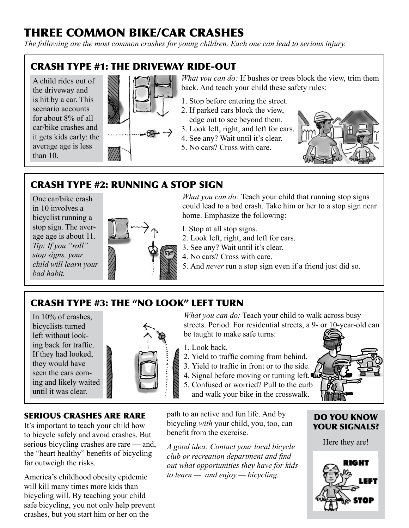# Three common BIke/car CRASHEs

*The following are the most common crashes for young children. Each one can lead to serious injury.*

## Crash Type #1: The Driveway Ride-out

A child rides out of the driveway and is hit by a car. This scenario accounts for about 8% of all car/bike crashes and it gets kids early: the average age is less than 10.



*What you can do:* If bushes or trees block the view, trim them back. And teach your child these safety rules:

- 1. Stop before entering the street.
- 2. If parked cars block the view, edge out to see beyond them.
- 3. Look left, right, and left for cars.
- 4. See any? Wait until it's clear.
- 5. No cars? Cross with care.



## Crash Type #2: Running a Stop Sign

One car/bike crash in 10 involves a bicyclist running a stop sign. The average age is about 11. *Tip: If you "roll" stop signs, your child will learn your bad habit.*



*What you can do:* Teach your child that running stop signs could lead to a bad crash. Take him or her to a stop sign near home. Emphasize the following:

- I. Stop at all stop signs.
- 2. Look left, right, and left for cars.
- 3. See any? Wait until it's clear.
- 4. No cars? Cross with care.
- 5. And *never* run a stop sign even if a friend just did so.

## Crash Type #3: The "No Look" Left Turn

In 10% of crashes, bicyclists turned left without looking back for traffic. If they had looked, they would have seen the cars coming and likely waited until it was clear.



*What you can do:* Teach your child to walk across busy streets. Period. For residential streets, a 9- or 10-year-old can be taught to make safe turns:

- 1. Look back.
- 2. Yield to traffic coming from behind.
- 3. Yield to traffic in front or to the side.
- 4. Signal before moving or turning left.
- 5. Confused or worried? Pull to the curb and walk your bike in the crosswalk.



#### serious Crashes are rare

It's important to teach your child how to bicycle safely and avoid crashes. But serious bicycling crashes are rare — and, the "heart healthy" benefits of bicycling far outweigh the risks.

America's childhood obesity epidemic will kill many times more kids than bicycling will. By teaching your child safe bicycling, you not only help prevent crashes, but you start him or her on the

path to an active and fun life. And by bicycling *with* your child, you, too, can benefit from the exercise.

*A good idea: Contact your local bicycle club or recreation department and find out what opportunities they have for kids to learn — and enjoy — bicycling.*

#### Do you Know YOUR SIGNALS?

Here they are!